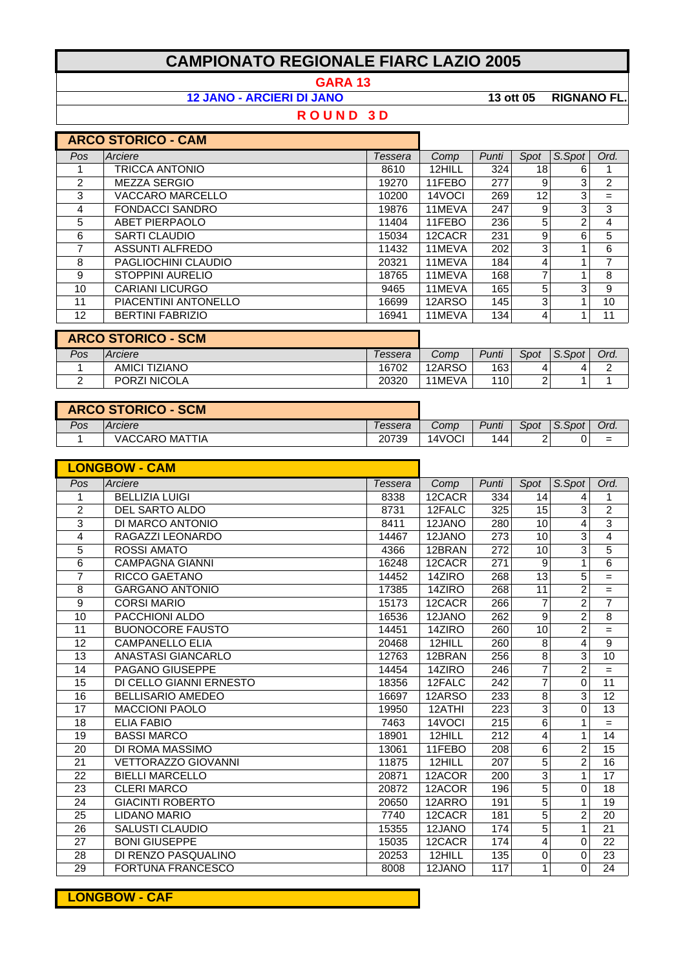## **CAMPIONATO REGIONALE FIARC LAZIO 2005**

**GARA 13**

**12 JANO - ARCIERI DI JANO 13 ott 05 RIGNANO FL.**

## **R O U N D 3 D**

|                   | <b>ARCO STORICO - CAM</b> |         |        |       |      |        |      |
|-------------------|---------------------------|---------|--------|-------|------|--------|------|
| Pos               | Arciere                   | Tessera | Comp   | Punti | Spot | S.Spot | Ord. |
|                   | <b>TRICCA ANTONIO</b>     | 8610    | 12HILL | 324   | 18   | 6      |      |
| $\overline{2}$    | <b>MEZZA SERGIO</b>       | 19270   | 11FEBO | 277   | 9    | 3      | 2    |
| 3                 | VACCARO MARCELLO          | 10200   | 14VOCI | 269   | 12   | 3      | $=$  |
| 4                 | <b>FONDACCI SANDRO</b>    | 19876   | 11MEVA | 247   | 9    | 3      | 3    |
| 5                 | <b>ABET PIERPAOLO</b>     | 11404   | 11FEBO | 236   | 5    | 2      | 4    |
| 6                 | <b>SARTI CLAUDIO</b>      | 15034   | 12CACR | 231   | 9    | 6      | 5    |
| 7                 | <b>ASSUNTI ALFREDO</b>    | 11432   | 11MEVA | 202   | 3    |        | 6    |
| 8                 | PAGLIOCHINI CLAUDIO       | 20321   | 11MEVA | 184   | 4    |        | 7    |
| 9                 | STOPPINI AURELIO          | 18765   | 11MEVA | 168   | 7    |        | 8    |
| 10                | CARIANI LICURGO           | 9465    | 11MEVA | 165   | 5    | 3      | 9    |
| 11                | PIACENTINI ANTONELLO      | 16699   | 12ARSO | 145   | 3    |        | 10   |
| $12 \overline{ }$ | <b>BERTINI FABRIZIO</b>   | 16941   | 11MEVA | 134   | 4    |        | 11   |

|     | <b>ARCO STORICO - SCM</b> |         |        |       |      |        |      |  |
|-----|---------------------------|---------|--------|-------|------|--------|------|--|
| Pos | Arciere                   | Tessera | Comp   | Punti | Spot | S.Spot | Ord. |  |
|     | AMICI TIZIANO             | 16702   | 12ARSO | 163   |      |        |      |  |
|     | <b>PORZI NICOLA</b>       | 20320   | 11MEVA | 110   |      |        |      |  |

|     | <b>ARCO STORICO - SCM</b> |         |        |       |      |               |      |
|-----|---------------------------|---------|--------|-------|------|---------------|------|
| Pos | <b>Arciere</b>            | Tessera | Comp   | Punti | Spot | $\mid$ S.Spot | Ord. |
|     | VACCARO MATTIA            | 20739   | 14VOCI | 144   | ∼    |               | $=$  |

|                 | <b>LONGBOW - CAM</b>       |         |        |                  |                |                |                 |
|-----------------|----------------------------|---------|--------|------------------|----------------|----------------|-----------------|
| Pos             | Arciere                    | Tessera | Comp   | Punti            | Spot           | S.Spot         | Ord.            |
| 1               | <b>BELLIZIA LUIGI</b>      | 8338    | 12CACR | 334              | 14             | 4              | 1               |
| $\overline{2}$  | DEL SARTO ALDO             | 8731    | 12FALC | 325              | 15             | 3              | $\overline{2}$  |
| 3               | DI MARCO ANTONIO           | 8411    | 12JANO | 280              | 10             | 4              | 3               |
| 4               | RAGAZZI LEONARDO           | 14467   | 12JANO | 273              | 10             | 3              | $\overline{4}$  |
| 5               | <b>ROSSI AMATO</b>         | 4366    | 12BRAN | $\overline{272}$ | 10             | 3              | 5               |
| 6               | <b>CAMPAGNA GIANNI</b>     | 16248   | 12CACR | $\overline{271}$ | $\overline{9}$ | 1              | 6               |
| 7               | <b>RICCO GAETANO</b>       | 14452   | 14ZIRO | 268              | 13             | 5              | $=$             |
| 8               | <b>GARGANO ANTONIO</b>     | 17385   | 14ZIRO | 268              | 11             | $\overline{2}$ | $=$             |
| $\overline{9}$  | <b>CORSI MARIO</b>         | 15173   | 12CACR | 266              | $\overline{7}$ | $\overline{2}$ | $\overline{7}$  |
| 10              | PACCHIONI ALDO             | 16536   | 12JANO | 262              | 9              | $\overline{2}$ | 8               |
| 11              | <b>BUONOCORE FAUSTO</b>    | 14451   | 14ZIRO | 260              | 10             | $\overline{2}$ | $=$             |
| $\overline{12}$ | <b>CAMPANELLO ELIA</b>     | 20468   | 12HILL | 260              | 8              | 4              | $\overline{9}$  |
| $\overline{13}$ | <b>ANASTASI GIANCARLO</b>  | 12763   | 12BRAN | 256              | 8              | 3              | $\overline{10}$ |
| 14              | PAGANO GIUSEPPE            | 14454   | 14ZIRO | 246              | 7              | $\overline{2}$ | $=$             |
| 15              | DI CELLO GIANNI ERNESTO    | 18356   | 12FALC | 242              | $\overline{7}$ | 0              | 11              |
| 16              | <b>BELLISARIO AMEDEO</b>   | 16697   | 12ARSO | 233              | 8              | 3              | 12              |
| 17              | <b>MACCIONI PAOLO</b>      | 19950   | 12ATHI | 223              | 3              | 0              | $\overline{13}$ |
| 18              | <b>ELIA FABIO</b>          | 7463    | 14VOCI | 215              | 6              | 1              | $=$             |
| 19              | <b>BASSI MARCO</b>         | 18901   | 12HILL | 212              | 4              | 1              | 14              |
| 20              | DI ROMA MASSIMO            | 13061   | 11FEBO | 208              | 6              | $\overline{2}$ | $\overline{15}$ |
| 21              | <b>VETTORAZZO GIOVANNI</b> | 11875   | 12HILL | 207              | 5              | $\overline{2}$ | 16              |
| 22              | <b>BIELLI MARCELLO</b>     | 20871   | 12ACOR | 200              | 3              | 1              | 17              |
| 23              | <b>CLERI MARCO</b>         | 20872   | 12ACOR | 196              | 5              | $\mathbf 0$    | 18              |
| 24              | <b>GIACINTI ROBERTO</b>    | 20650   | 12ARRO | 191              | 5              | 1              | 19              |
| 25              | <b>LIDANO MARIO</b>        | 7740    | 12CACR | 181              | 5              | $\overline{2}$ | 20              |
| 26              | <b>SALUSTI CLAUDIO</b>     | 15355   | 12JANO | 174              | 5              | 1              | 21              |
| 27              | <b>BONI GIUSEPPE</b>       | 15035   | 12CACR | 174              | 4              | 0              | 22              |
| 28              | DI RENZO PASQUALINO        | 20253   | 12HILL | 135              | 0              | 0              | 23              |
| 29              | <b>FORTUNA FRANCESCO</b>   | 8008    | 12JANO | 117              | 1              | 0              | 24              |

**LONGBOW - CAF**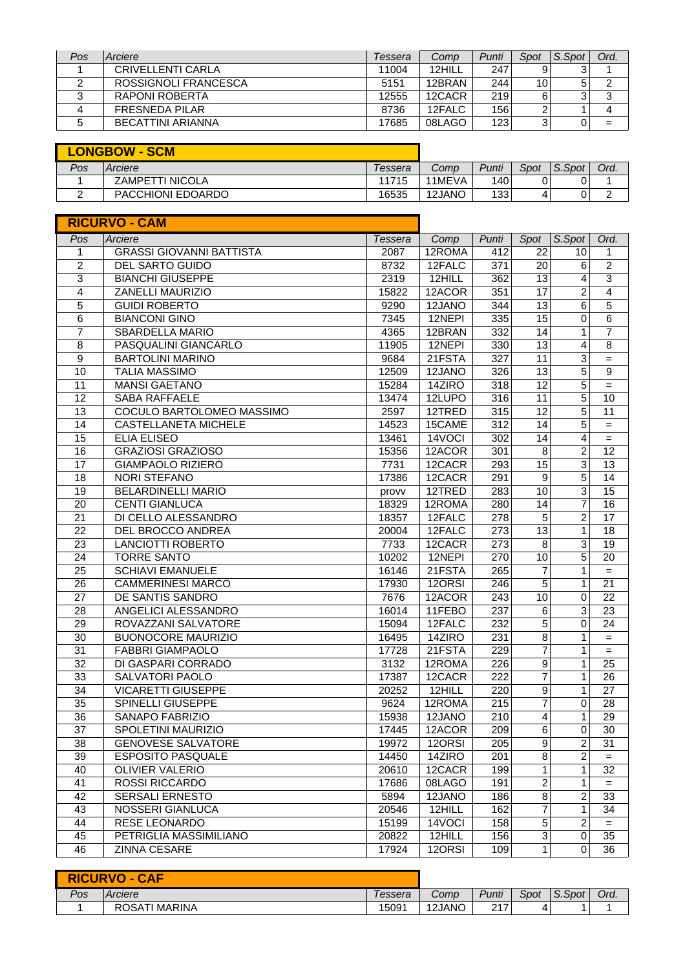| Pos | Arciere                  | Tessera | Comp   | Punti | Spot            | S.Spot | Ord. |
|-----|--------------------------|---------|--------|-------|-----------------|--------|------|
|     | CRIVELLENTI CARLA        | 11004   | 12HILL | 247   |                 |        |      |
|     | ROSSIGNOLI FRANCESCA     | 5151    | 12BRAN | 244   | 10 <sup>1</sup> | 5.     |      |
|     | RAPONI ROBERTA           | 12555   | 12CACR | 219   | 6               |        |      |
|     | <b>FRESNEDA PILAR</b>    | 8736    | 12FALC | 156   |                 |        |      |
|     | <b>BECATTINI ARIANNA</b> | 17685   | 08LAGO | 123   |                 |        | =    |

|     | <b>LONGBOW - SCM</b> |         |        |       |      |        |      |
|-----|----------------------|---------|--------|-------|------|--------|------|
| Pos | Arciere              | Tessera | Comp   | Punti | Spot | S.Spot | Ord. |
|     | ZAMPETTI NICOLA      | 11715   | 11MEVA | 140   |      |        |      |
|     | PACCHIONI EDOARDO    | 16535   | 12JANO | 133   |      |        |      |

|                 | <b>RICURVO - CAM</b>            |         |                      |       |                  |                |                 |
|-----------------|---------------------------------|---------|----------------------|-------|------------------|----------------|-----------------|
| Pos             | Arciere                         | Tessera | Comp                 | Punti | Spot             | S.Spot         | Ord.            |
| 1               | <b>GRASSI GIOVANNI BATTISTA</b> | 2087    | 12ROMA               | 412   | 22               | 10             | 1               |
| $\overline{c}$  | DEL SARTO GUIDO                 | 8732    | 12FALC               | 371   | 20               | $\,6$          | $\overline{2}$  |
| 3               | <b>BIANCHI GIUSEPPE</b>         | 2319    | 12HILL               | 362   | 13               | 4              | 3               |
| 4               | ZANELLI MAURIZIO                | 15822   | 12ACOR               | 351   | 17               | 2              | 4               |
| 5               | <b>GUIDI ROBERTO</b>            | 9290    | 12JANO               | 344   | 13               | 6              | $\overline{5}$  |
| 6               | <b>BIANCONI GINO</b>            | 7345    | 12NEPI               | 335   | 15               | 0              | 6               |
| 7               | <b>SBARDELLA MARIO</b>          | 4365    | 12BRAN               | 332   | 14               | 1              | $\overline{7}$  |
| 8               | PASQUALINI GIANCARLO            | 11905   | 12NEPI               | 330   | $\overline{13}$  | 4              | $\overline{8}$  |
| 9               | <b>BARTOLINI MARINO</b>         | 9684    | 21FSTA               | 327   | 11               | 3              | $\!=$           |
| 10              | <b>TALIA MASSIMO</b>            | 12509   | 12JANO               | 326   | 13               | 5              | 9               |
| 11              | <b>MANSI GAETANO</b>            | 15284   | 14ZIRO               | 318   | $\overline{12}$  | 5              | $=$             |
| 12              | <b>SABA RAFFAELE</b>            | 13474   | 12LUPO               | 316   | 11               | 5              | 10              |
| 13              | COCULO BARTOLOMEO MASSIMO       | 2597    | 12TRED               | 315   | 12               | 5              | 11              |
| 14              | <b>CASTELLANETA MICHELE</b>     | 14523   | 15CAME               | 312   | 14               | 5              | $=$             |
| 15              | <b>ELIA ELISEO</b>              | 13461   | $\overline{14V}$ OCI | 302   | 14               | 4              | $=$             |
| 16              | <b>GRAZIOSI GRAZIOSO</b>        | 15356   | 12ACOR               | 301   | 8                | 2              | 12              |
| 17              | <b>GIAMPAOLO RIZIERO</b>        | 7731    | 12CACR               | 293   | 15               | 3              | 13              |
| 18              | <b>NORI STEFANO</b>             | 17386   | 12CACR               | 291   | 9                | 5              | 14              |
| $\overline{19}$ | <b>BELARDINELLI MARIO</b>       | provv   | 12TRED               | 283   | 10               | 3              | 15              |
| 20              | <b>CENTI GIANLUCA</b>           | 18329   | 12ROMA               | 280   | 14               | 7              | 16              |
| 21              | DI CELLO ALESSANDRO             | 18357   | 12FALC               | 278   | 5                | $\overline{c}$ | $\overline{17}$ |
| $\overline{22}$ | DEL BROCCO ANDREA               | 20004   | 12FALC               | 273   | $\overline{13}$  | 1              | 18              |
| 23              | <b>LANCIOTTI ROBERTO</b>        | 7733    | 12CACR               | 273   | 8                | 3              | 19              |
| 24              | <b>TORRE SANTO</b>              | 10202   | 12NEPI               | 270   | 10               | 5              | 20              |
| 25              | <b>SCHIAVI EMANUELE</b>         | 16146   | 21FSTA               | 265   | $\overline{7}$   | 1              | $=$             |
| 26              | <b>CAMMERINESI MARCO</b>        | 17930   | 12ORSI               | 246   | $\overline{5}$   | 1              | 21              |
| 27              | DE SANTIS SANDRO                | 7676    | 12ACOR               | 243   | 10               | 0              | 22              |
| 28              | ANGELICI ALESSANDRO             | 16014   | 11FEBO               | 237   | 6                | 3              | 23              |
| 29              | ROVAZZANI SALVATORE             | 15094   | 12FALC               | 232   | 5                | 0              | 24              |
| 30              | <b>BUONOCORE MAURIZIO</b>       | 16495   | 14ZIRO               | 231   | 8                | 1              | $=$             |
| 31              | <b>FABBRI GIAMPAOLO</b>         | 17728   | 21FSTA               | 229   | 7                | 1              | $=$             |
| $\overline{32}$ | DI GASPARI CORRADO              | 3132    | 12ROMA               | 226   | $\boldsymbol{9}$ | 1              | 25              |
| 33              | SALVATORI PAOLO                 | 17387   | 12CACR               | 222   | 7                | 1              | 26              |
| $\overline{34}$ | <b>VICARETTI GIUSEPPE</b>       | 20252   | 12HILL               | 220   | $\overline{9}$   | $\mathbf{1}$   | 27              |
| 35              | <b>SPINELLI GIUSEPPE</b>        | 9624    | 12ROMA               | 215   | 7                | $\mathbf 0$    | 28              |
| 36              | <b>SANAPO FABRIZIO</b>          | 15938   | 12JANO               | 210   | 4                | 1              | 29              |
| $\overline{37}$ | SPOLETINI MAURIZIO              | 17445   | 12ACOR               | 209   | $\overline{6}$   | $\overline{0}$ | $\overline{30}$ |
| 38              | <b>GENOVESE SALVATORE</b>       | 19972   | 12ORSI               | 205   | 9                | $\overline{c}$ | 31              |
| 39              | <b>ESPOSITO PASQUALE</b>        | 14450   | 14ZIRO               | 201   | 8                | 2              | $=$             |
| 40              | <b>OLIVIER VALERIO</b>          | 20610   | 12CACR               | 199   | 1                | 1              | 32              |
| 41              | <b>ROSSI RICCARDO</b>           | 17686   | 08LAGO               | 191   | $\overline{c}$   | 1              | $=$             |
| 42              | <b>SERSALI ERNESTO</b>          | 5894    | 12JANO               | 186   | 8                | 2              | 33              |
| 43              | NOSSERI GIANLUCA                | 20546   | 12HILL               | 162   | 7                | 1              | 34              |
| 44              | RESE LEONARDO                   | 15199   | 14VOCI               | 158   | 5                | 2              | $=$             |
| 45              | PETRIGLIA MASSIMILIANO          | 20822   | 12HILL               | 156   | 3                | $\pmb{0}$      | 35              |
| 46              | <b>ZINNA CESARE</b>             | 17924   | 12ORSI               | 109   | 1                | $\mathbf 0$    | 36              |

|     | <b>RICURVO - CAF</b> |         |        |       |      |        |      |
|-----|----------------------|---------|--------|-------|------|--------|------|
| Pos | Arciere              | Tessera | Comp   | Punti | Spot | S.Spot | Ord. |
|     | ROSATI MARINA        | 15091   | 12JANO | 217   | 4    |        |      |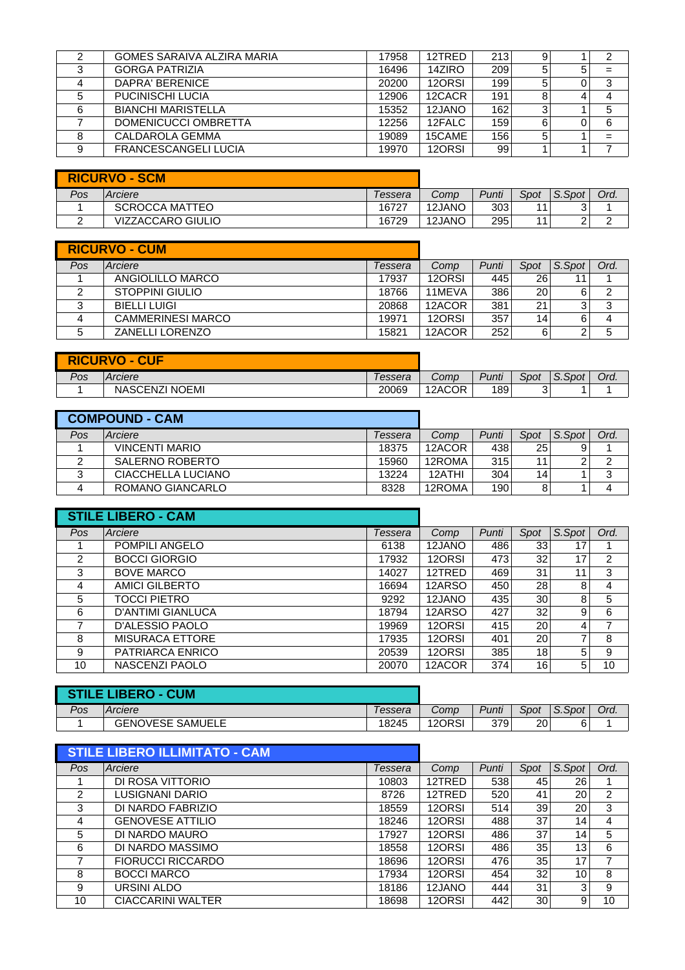|   | GOMES SARAIVA ALZIRA MARIA  | 17958 | 12TRED | 213 | 9 |    |
|---|-----------------------------|-------|--------|-----|---|----|
| ◠ | <b>GORGA PATRIZIA</b>       | 16496 | 14ZIRO | 209 |   |    |
|   | DAPRA' BERENICE             | 20200 | 12ORSI | 199 | 5 | -3 |
|   | PUCINISCHI LUCIA            | 12906 | 12CACR | 191 | 8 |    |
| 6 | <b>BIANCHI MARISTELLA</b>   | 15352 | 12JANO | 162 | 3 | 5  |
|   | DOMENICUCCI OMBRETTA        | 12256 | 12FALC | 159 | 6 | 6  |
| 8 | CALDAROLA GEMMA             | 19089 | 15CAME | 156 | 5 | =  |
|   | <b>FRANCESCANGELI LUCIA</b> | 19970 | 12ORSI | 99  |   |    |
|   |                             |       |        |     |   |    |

|     | <b>RICURVO - SCM</b>  |         |        |       |      |        |      |
|-----|-----------------------|---------|--------|-------|------|--------|------|
| Pos | Arciere               | Tessera | Comp   | Punti | Spot | S.Spot | Ord. |
|     | <b>SCROCCA MATTEO</b> | 16727   | 12JANO | 303   | 44   |        |      |
|     | VIZZACCARO GIULIO     | 16729   | 12JANO | 295   |      |        |      |

|     | <b>RICURVO - CUM</b>     |         |        |       |           |        |      |
|-----|--------------------------|---------|--------|-------|-----------|--------|------|
| Pos | Arciere                  | Tessera | Comp   | Punti | Spot      | S.Spot | Ord. |
|     | ANGIOLILLO MARCO         | 17937   | 12ORSI | 445   | <b>26</b> |        |      |
|     | STOPPINI GIULIO          | 18766   | 11MEVA | 386   | 20 l      |        |      |
| っ   | <b>BIELLI LUIGI</b>      | 20868   | 12ACOR | 381   | 21        |        | 3    |
|     | <b>CAMMERINESI MARCO</b> | 19971   | 12ORSI | 357   | 14        |        |      |
|     | <b>ZANELLI LORENZO</b>   | 15821   | 12ACOR | 252   | 6         |        |      |

|     | <b>RICURVO - CUF</b>  |          |          |       |              |        |      |
|-----|-----------------------|----------|----------|-------|--------------|--------|------|
| Pos | Arciere               | l essera | $Comp^-$ | Punti | Spot         | S.Spot | Ord. |
|     | <b>NASCENZI NOEMI</b> | 20069    | 12ACOR   | 189   | $\sim$<br>J. |        |      |

|     | <b>COMPOUND - CAM</b> |         |        |       |      |        |        |
|-----|-----------------------|---------|--------|-------|------|--------|--------|
| Pos | Arciere               | Tessera | Comp   | Punti | Spot | S.Spot | Ord.   |
|     | <b>VINCENTI MARIO</b> | 18375   | 12ACOR | 438   | 25   |        |        |
|     | SALERNO ROBERTO       | 15960   | 12ROMA | 315   | 11   |        | ◠      |
|     | CIACCHELLA LUCIANO    | 13224   | 12ATHI | 304   | 14   |        | ◠<br>J |
|     | ROMANO GIANCARLO      | 8328    | 12ROMA | 190   | 8    |        |        |

|     | <b>STILE LIBERO - CAM</b> |         |        |       |      |        |      |
|-----|---------------------------|---------|--------|-------|------|--------|------|
| Pos | Arciere                   | Tessera | Comp   | Punti | Spot | S.Spot | Ord. |
|     | <b>POMPILI ANGELO</b>     | 6138    | 12JANO | 486   | 33   | 17     |      |
| 2   | <b>BOCCI GIORGIO</b>      | 17932   | 12ORSI | 473   | 32   | 17     | 2    |
| 3   | <b>BOVE MARCO</b>         | 14027   | 12TRED | 469   | 31   | 11     | 3    |
| 4   | <b>AMICI GILBERTO</b>     | 16694   | 12ARSO | 450   | 28   | 8      | 4    |
| 5   | TOCCI PIETRO              | 9292    | 12JANO | 435   | 30   | 8      | 5    |
| 6   | <b>D'ANTIMI GIANLUCA</b>  | 18794   | 12ARSO | 427   | 32   | 9      | 6    |
| ⇁   | D'ALESSIO PAOLO           | 19969   | 12ORSI | 415   | 20   | 4      | 7    |
| 8   | <b>MISURACA ETTORE</b>    | 17935   | 12ORSI | 401   | 20   | ⇁      | 8    |
| 9   | PATRIARCA ENRICO          | 20539   | 12ORSI | 385   | 18   | 5      | 9    |
| 10  | NASCENZI PAOLO            | 20070   | 12ACOR | 374   | 16   | 5      | 10   |

| <b>STILE LIBERO - CUM</b> |                         |          |        |       |      |        |      |
|---------------------------|-------------------------|----------|--------|-------|------|--------|------|
| Pos                       | Arciere                 | l essera | Comp   | Punti | Spot | S.Spot | Ord. |
|                           | <b>GENOVESE SAMUELE</b> | 18245    | 12ORSI | 379   | 20   | 6      |      |

|     | <b>STILE LIBERO ILLIMITATO - CAM</b> |         |        |       |      |        |      |
|-----|--------------------------------------|---------|--------|-------|------|--------|------|
| Pos | Arciere                              | Tessera | Comp   | Punti | Spot | S.Spot | Ord. |
|     | DI ROSA VITTORIO                     | 10803   | 12TRED | 538   | 45   | 26     |      |
| 2   | LUSIGNANI DARIO                      | 8726    | 12TRED | 520   | 41   | 20     | 2    |
| 3   | DI NARDO FABRIZIO                    | 18559   | 12ORSI | 514   | 39   | 20     | 3    |
| 4   | <b>GENOVESE ATTILIO</b>              | 18246   | 12ORSI | 488   | 37   | 14     | 4    |
| 5   | DI NARDO MAURO                       | 17927   | 12ORSI | 486   | 37   | 14     | 5    |
| 6   | DI NARDO MASSIMO                     | 18558   | 12ORSI | 486   | 35   | 13     | 6    |
| ⇁   | <b>FIORUCCI RICCARDO</b>             | 18696   | 12ORSI | 476   | 35   | 17     | 7    |
| 8   | <b>BOCCI MARCO</b>                   | 17934   | 12ORSI | 454   | 32   | 10     | 8    |
| 9   | URSINI ALDO                          | 18186   | 12JANO | 444   | 31   | 3      | 9    |
| 10  | CIACCARINI WALTER                    | 18698   | 12ORSI | 442   | 30   | 9      | 10   |